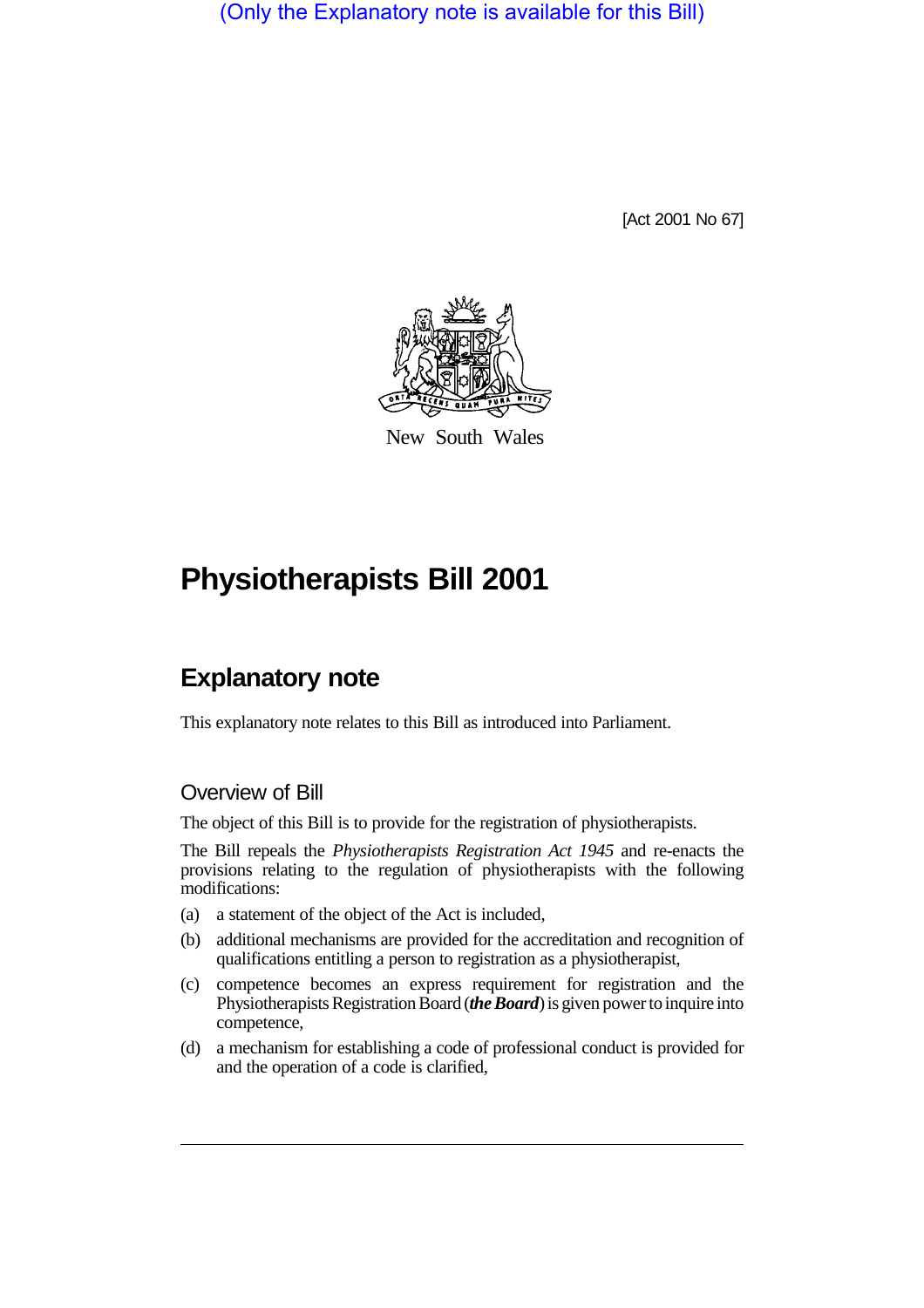(Only the Explanatory note is available for this Bill)

[Act 2001 No 67]



New South Wales

# **Physiotherapists Bill 2001**

## **Explanatory note**

This explanatory note relates to this Bill as introduced into Parliament.

### Overview of Bill

The object of this Bill is to provide for the registration of physiotherapists.

The Bill repeals the *Physiotherapists Registration Act 1945* and re-enacts the provisions relating to the regulation of physiotherapists with the following modifications:

- (a) a statement of the object of the Act is included,
- (b) additional mechanisms are provided for the accreditation and recognition of qualifications entitling a person to registration as a physiotherapist,
- (c) competence becomes an express requirement for registration and the Physiotherapists Registration Board (*the Board*) is given power to inquire into competence,
- (d) a mechanism for establishing a code of professional conduct is provided for and the operation of a code is clarified,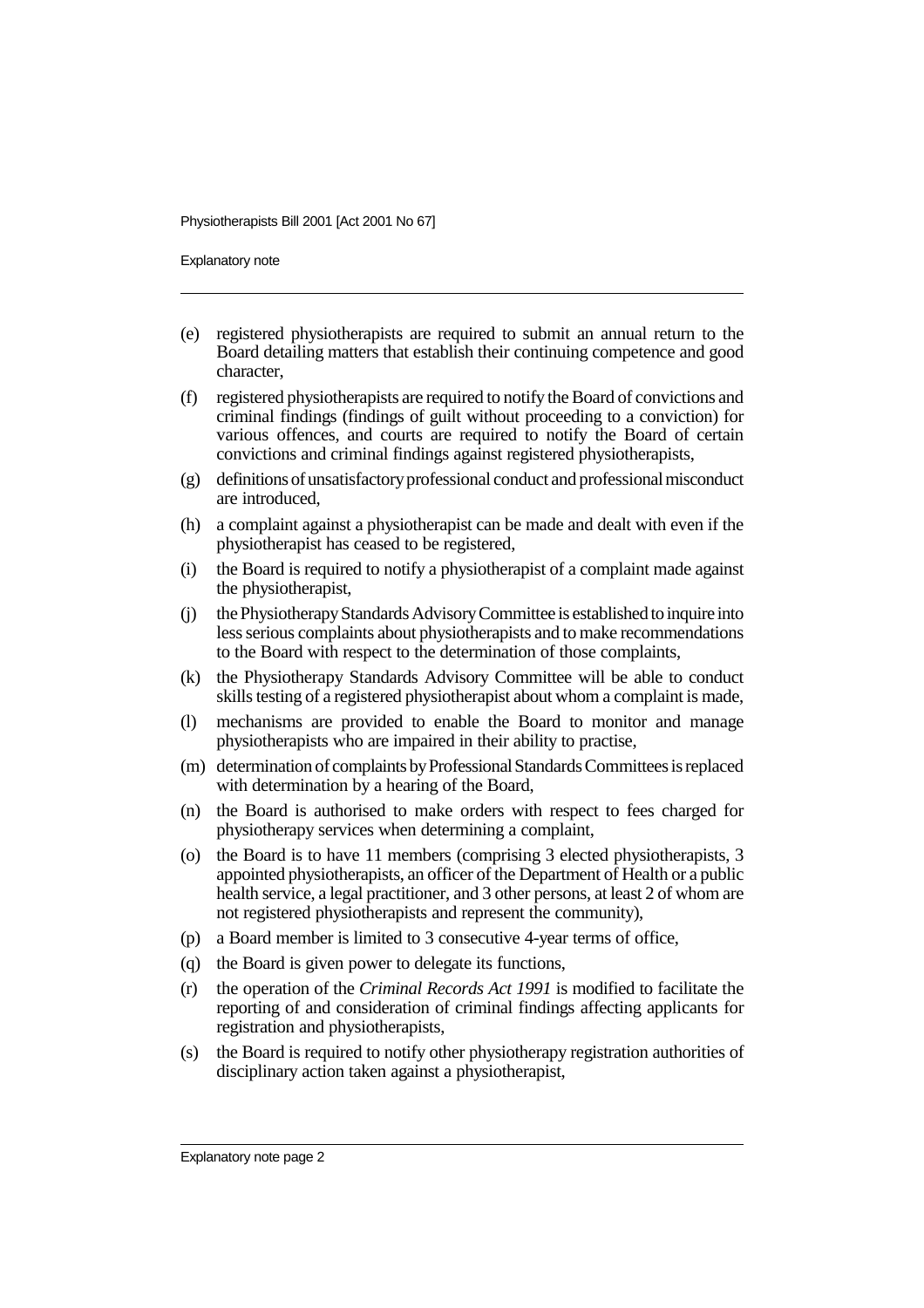Explanatory note

- (e) registered physiotherapists are required to submit an annual return to the Board detailing matters that establish their continuing competence and good character,
- (f) registered physiotherapists are required to notify the Board of convictions and criminal findings (findings of guilt without proceeding to a conviction) for various offences, and courts are required to notify the Board of certain convictions and criminal findings against registered physiotherapists,
- (g) definitions of unsatisfactory professional conduct and professional misconduct are introduced,
- (h) a complaint against a physiotherapist can be made and dealt with even if the physiotherapist has ceased to be registered,
- (i) the Board is required to notify a physiotherapist of a complaint made against the physiotherapist,
- (j) the Physiotherapy Standards Advisory Committee is established to inquire into less serious complaints about physiotherapists and to make recommendations to the Board with respect to the determination of those complaints,
- (k) the Physiotherapy Standards Advisory Committee will be able to conduct skills testing of a registered physiotherapist about whom a complaint is made,
- (l) mechanisms are provided to enable the Board to monitor and manage physiotherapists who are impaired in their ability to practise,
- (m) determination of complaints by Professional Standards Committees is replaced with determination by a hearing of the Board,
- (n) the Board is authorised to make orders with respect to fees charged for physiotherapy services when determining a complaint,
- (o) the Board is to have 11 members (comprising 3 elected physiotherapists, 3 appointed physiotherapists, an officer of the Department of Health or a public health service, a legal practitioner, and 3 other persons, at least 2 of whom are not registered physiotherapists and represent the community),
- (p) a Board member is limited to 3 consecutive 4-year terms of office,
- (q) the Board is given power to delegate its functions,
- (r) the operation of the *Criminal Records Act 1991* is modified to facilitate the reporting of and consideration of criminal findings affecting applicants for registration and physiotherapists,
- (s) the Board is required to notify other physiotherapy registration authorities of disciplinary action taken against a physiotherapist,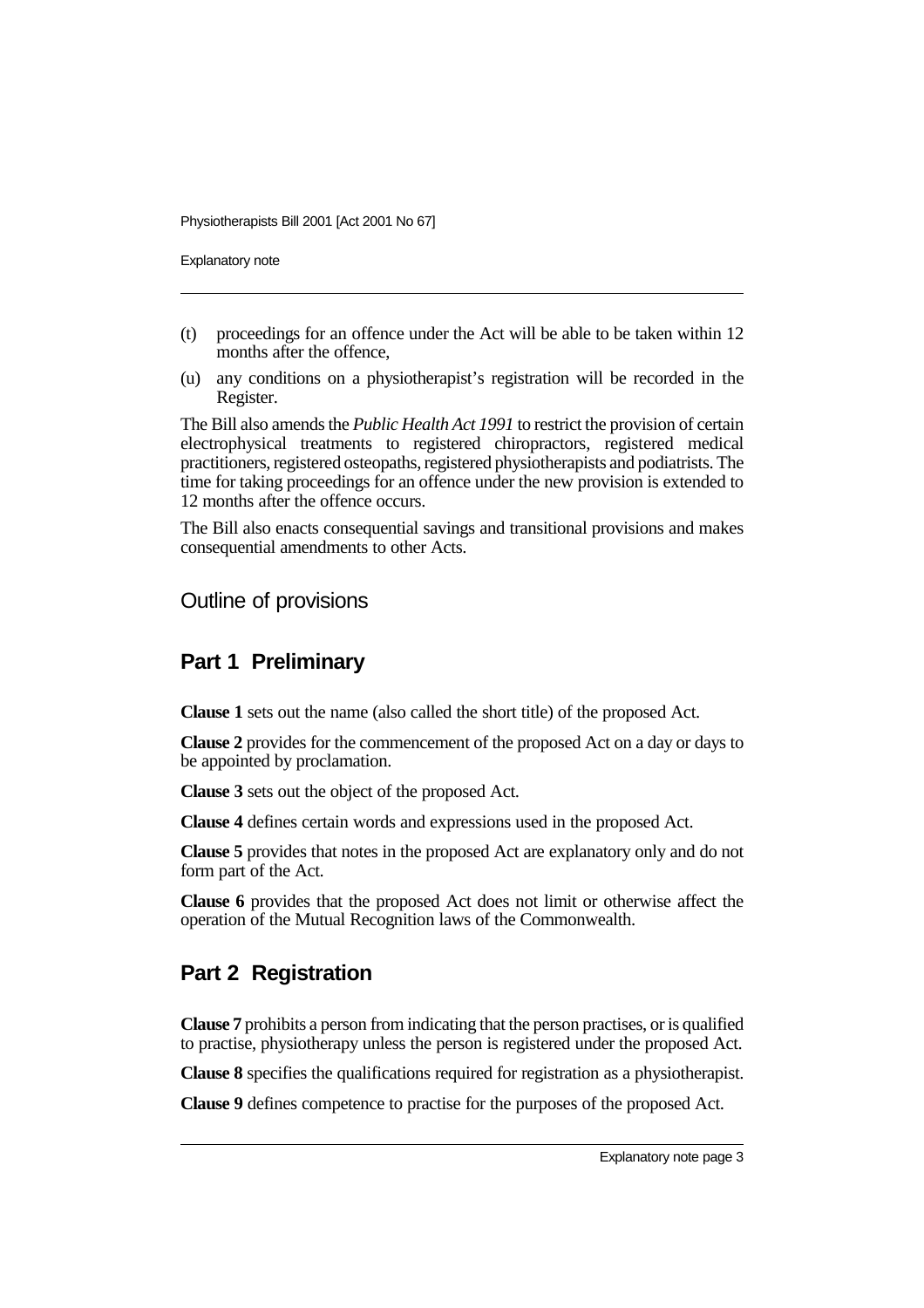Explanatory note

- (t) proceedings for an offence under the Act will be able to be taken within 12 months after the offence,
- (u) any conditions on a physiotherapist's registration will be recorded in the Register.

The Bill also amends the *Public Health Act 1991* to restrict the provision of certain electrophysical treatments to registered chiropractors, registered medical practitioners, registered osteopaths, registered physiotherapists and podiatrists. The time for taking proceedings for an offence under the new provision is extended to 12 months after the offence occurs.

The Bill also enacts consequential savings and transitional provisions and makes consequential amendments to other Acts.

### Outline of provisions

### **Part 1 Preliminary**

**Clause 1** sets out the name (also called the short title) of the proposed Act.

**Clause 2** provides for the commencement of the proposed Act on a day or days to be appointed by proclamation.

**Clause 3** sets out the object of the proposed Act.

**Clause 4** defines certain words and expressions used in the proposed Act.

**Clause 5** provides that notes in the proposed Act are explanatory only and do not form part of the Act.

**Clause 6** provides that the proposed Act does not limit or otherwise affect the operation of the Mutual Recognition laws of the Commonwealth.

### **Part 2 Registration**

**Clause 7** prohibits a person from indicating that the person practises, or is qualified to practise, physiotherapy unless the person is registered under the proposed Act.

**Clause 8** specifies the qualifications required for registration as a physiotherapist.

**Clause 9** defines competence to practise for the purposes of the proposed Act.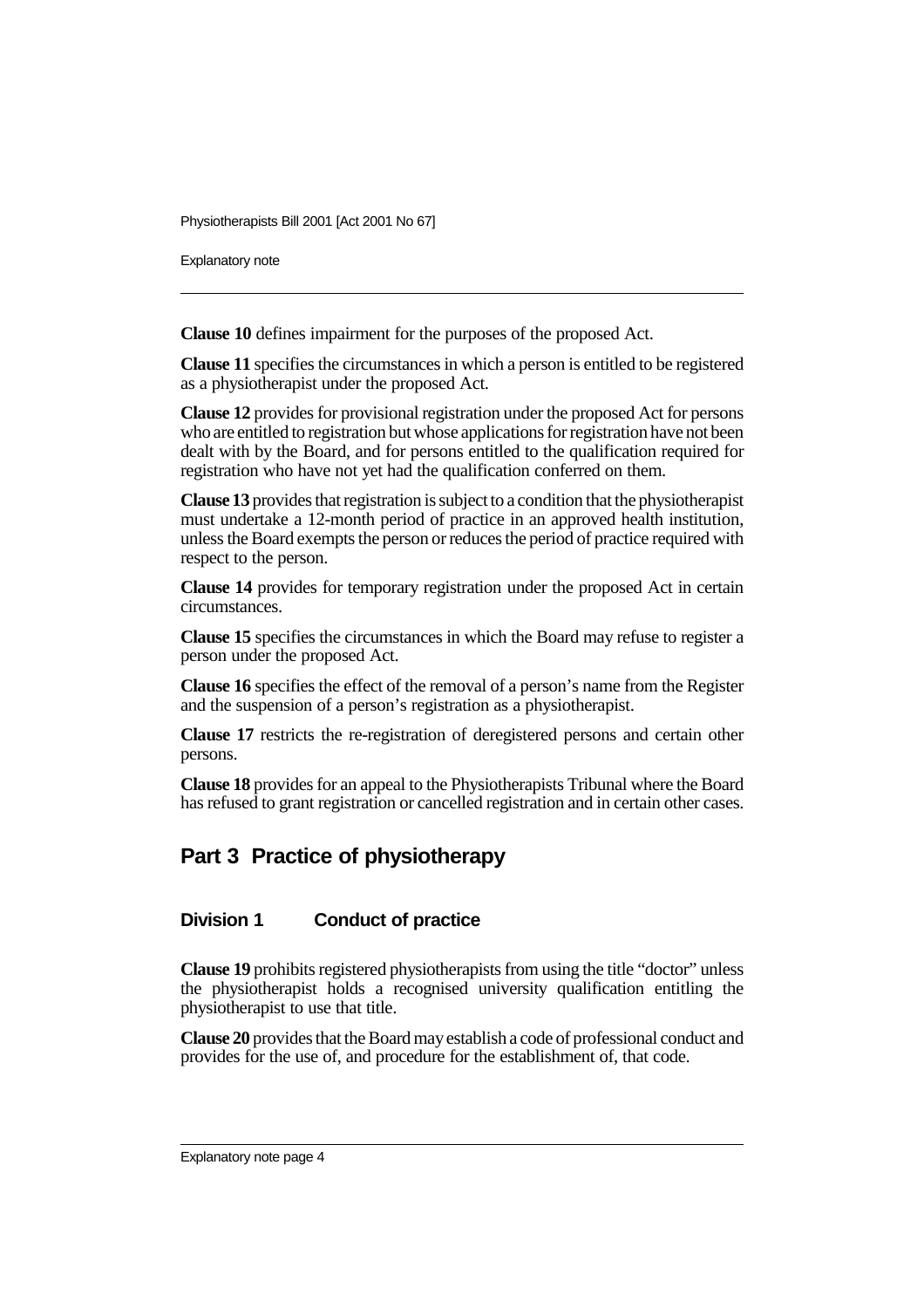Explanatory note

**Clause 10** defines impairment for the purposes of the proposed Act.

**Clause 11** specifies the circumstances in which a person is entitled to be registered as a physiotherapist under the proposed Act.

**Clause 12** provides for provisional registration under the proposed Act for persons who are entitled to registration but whose applications for registration have not been dealt with by the Board, and for persons entitled to the qualification required for registration who have not yet had the qualification conferred on them.

**Clause 13** provides that registration is subject to a condition that the physiotherapist must undertake a 12-month period of practice in an approved health institution, unless the Board exempts the person or reduces the period of practice required with respect to the person.

**Clause 14** provides for temporary registration under the proposed Act in certain circumstances.

**Clause 15** specifies the circumstances in which the Board may refuse to register a person under the proposed Act.

**Clause 16** specifies the effect of the removal of a person's name from the Register and the suspension of a person's registration as a physiotherapist.

**Clause 17** restricts the re-registration of deregistered persons and certain other persons.

**Clause 18** provides for an appeal to the Physiotherapists Tribunal where the Board has refused to grant registration or cancelled registration and in certain other cases.

### **Part 3 Practice of physiotherapy**

#### **Division 1 Conduct of practice**

**Clause 19** prohibits registered physiotherapists from using the title "doctor" unless the physiotherapist holds a recognised university qualification entitling the physiotherapist to use that title.

**Clause 20** provides that the Board may establish a code of professional conduct and provides for the use of, and procedure for the establishment of, that code.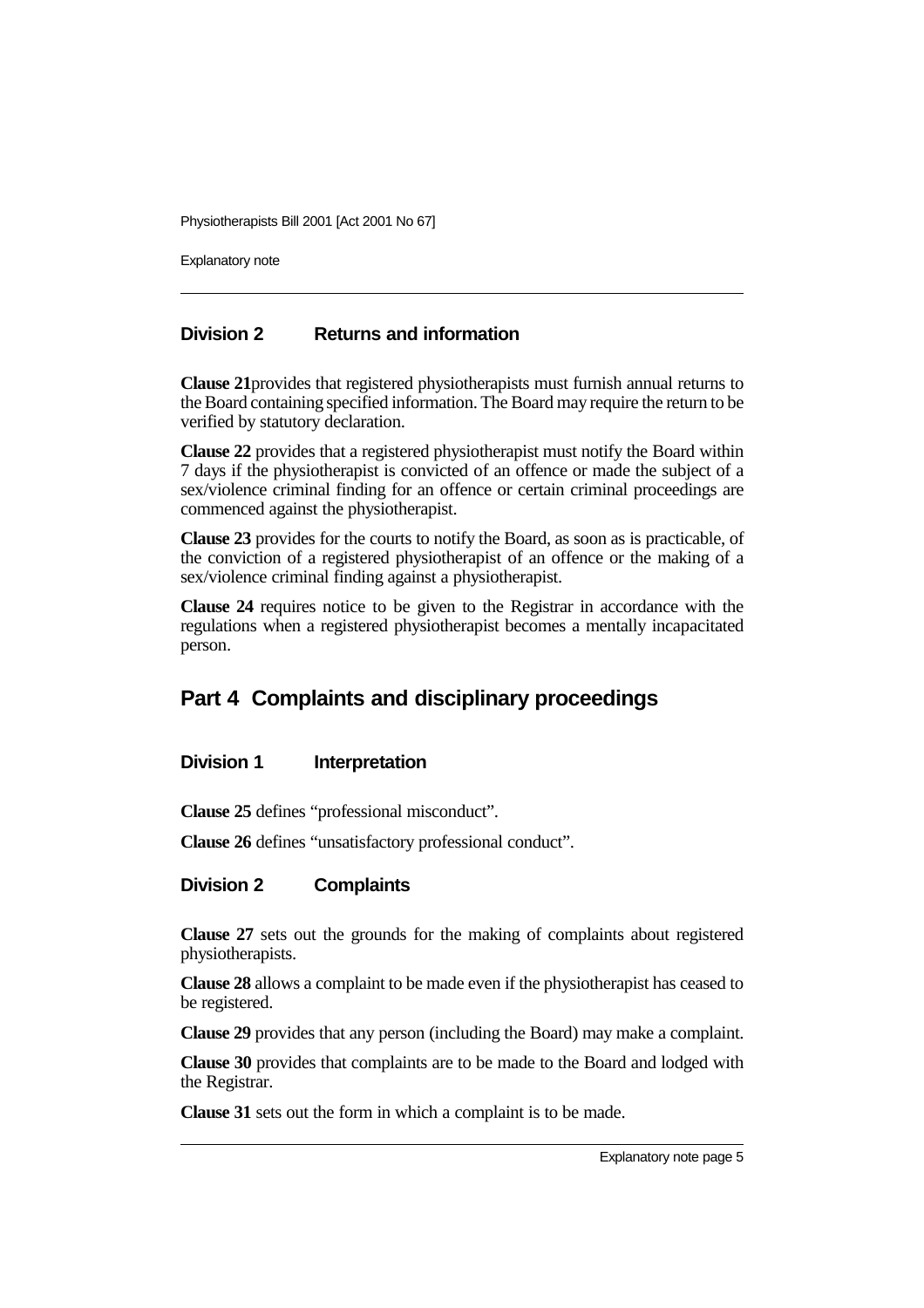Explanatory note

#### **Division 2 Returns and information**

**Clause 21**provides that registered physiotherapists must furnish annual returns to the Board containing specified information. The Board may require the return to be verified by statutory declaration.

**Clause 22** provides that a registered physiotherapist must notify the Board within 7 days if the physiotherapist is convicted of an offence or made the subject of a sex/violence criminal finding for an offence or certain criminal proceedings are commenced against the physiotherapist.

**Clause 23** provides for the courts to notify the Board, as soon as is practicable, of the conviction of a registered physiotherapist of an offence or the making of a sex/violence criminal finding against a physiotherapist.

**Clause 24** requires notice to be given to the Registrar in accordance with the regulations when a registered physiotherapist becomes a mentally incapacitated person.

### **Part 4 Complaints and disciplinary proceedings**

#### **Division 1 Interpretation**

**Clause 25** defines "professional misconduct".

**Clause 26** defines "unsatisfactory professional conduct".

#### **Division 2 Complaints**

**Clause 27** sets out the grounds for the making of complaints about registered physiotherapists.

**Clause 28** allows a complaint to be made even if the physiotherapist has ceased to be registered.

**Clause 29** provides that any person (including the Board) may make a complaint.

**Clause 30** provides that complaints are to be made to the Board and lodged with the Registrar.

**Clause 31** sets out the form in which a complaint is to be made.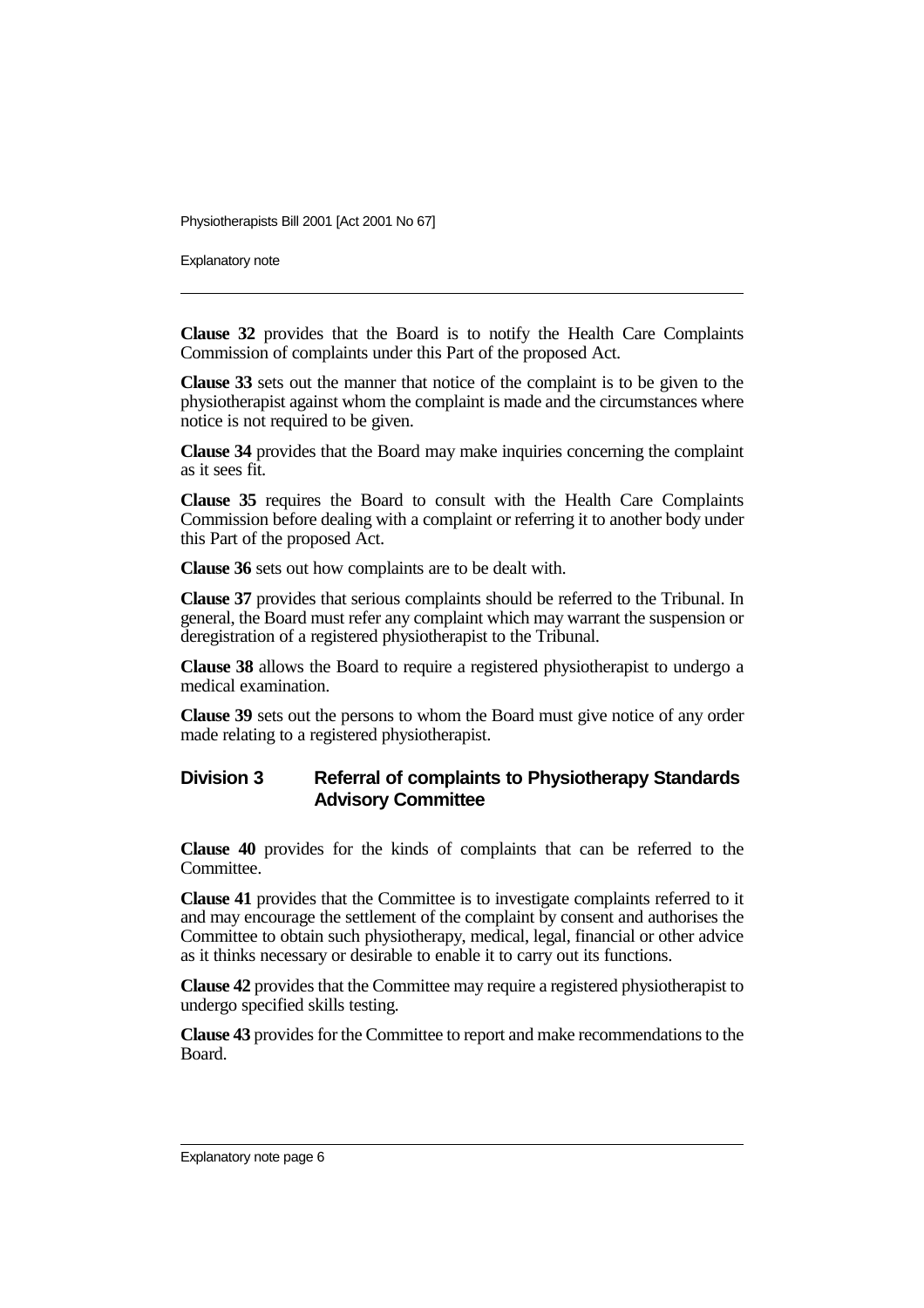Explanatory note

**Clause 32** provides that the Board is to notify the Health Care Complaints Commission of complaints under this Part of the proposed Act.

**Clause 33** sets out the manner that notice of the complaint is to be given to the physiotherapist against whom the complaint is made and the circumstances where notice is not required to be given.

**Clause 34** provides that the Board may make inquiries concerning the complaint as it sees fit.

**Clause 35** requires the Board to consult with the Health Care Complaints Commission before dealing with a complaint or referring it to another body under this Part of the proposed Act.

**Clause 36** sets out how complaints are to be dealt with.

**Clause 37** provides that serious complaints should be referred to the Tribunal. In general, the Board must refer any complaint which may warrant the suspension or deregistration of a registered physiotherapist to the Tribunal.

**Clause 38** allows the Board to require a registered physiotherapist to undergo a medical examination.

**Clause 39** sets out the persons to whom the Board must give notice of any order made relating to a registered physiotherapist.

#### **Division 3 Referral of complaints to Physiotherapy Standards Advisory Committee**

**Clause 40** provides for the kinds of complaints that can be referred to the Committee.

**Clause 41** provides that the Committee is to investigate complaints referred to it and may encourage the settlement of the complaint by consent and authorises the Committee to obtain such physiotherapy, medical, legal, financial or other advice as it thinks necessary or desirable to enable it to carry out its functions.

**Clause 42** provides that the Committee may require a registered physiotherapist to undergo specified skills testing.

**Clause 43** provides for the Committee to report and make recommendations to the Board.

Explanatory note page 6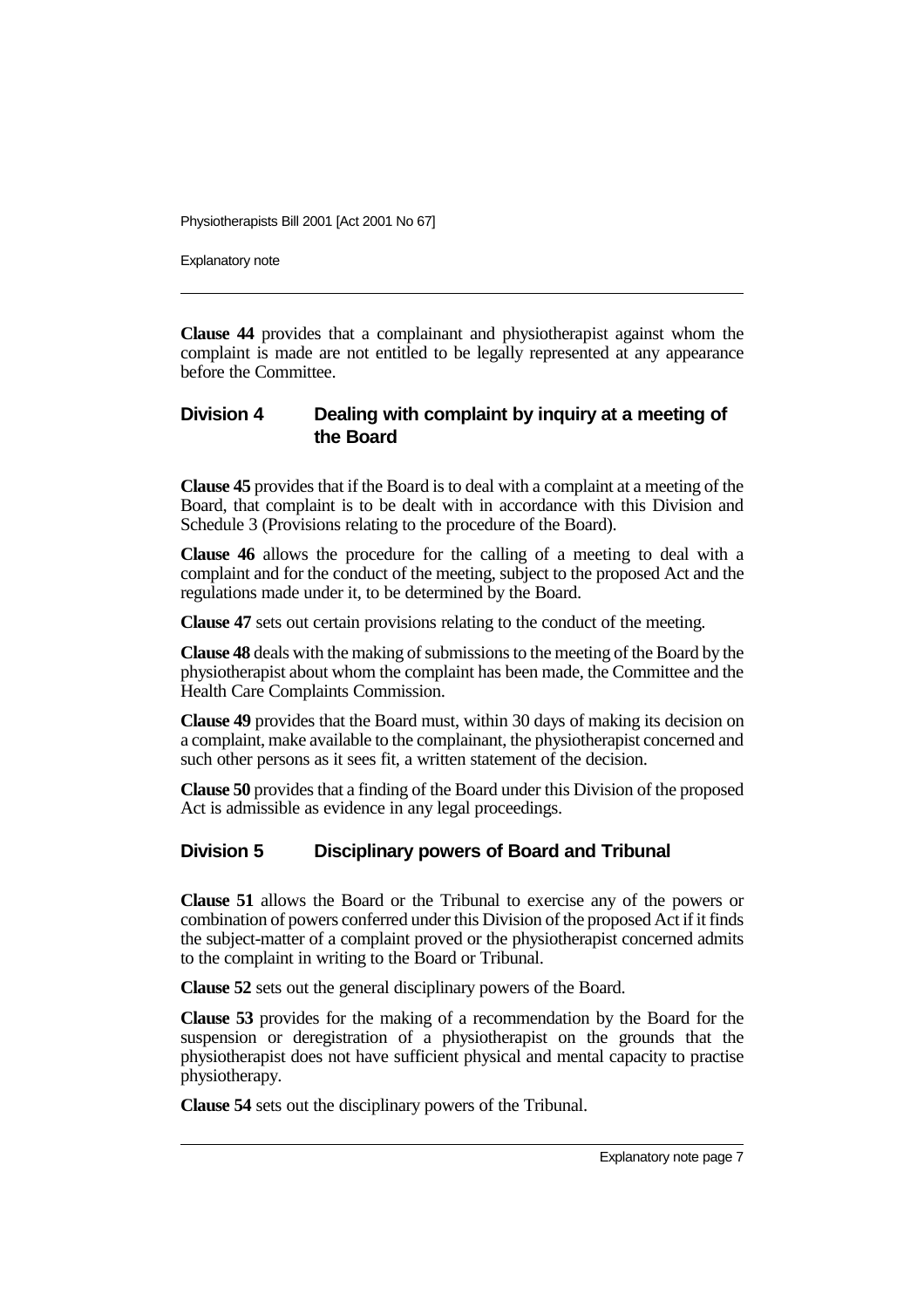Explanatory note

**Clause 44** provides that a complainant and physiotherapist against whom the complaint is made are not entitled to be legally represented at any appearance before the Committee.

#### **Division 4 Dealing with complaint by inquiry at a meeting of the Board**

**Clause 45** provides that if the Board is to deal with a complaint at a meeting of the Board, that complaint is to be dealt with in accordance with this Division and Schedule 3 (Provisions relating to the procedure of the Board).

**Clause 46** allows the procedure for the calling of a meeting to deal with a complaint and for the conduct of the meeting, subject to the proposed Act and the regulations made under it, to be determined by the Board.

**Clause 47** sets out certain provisions relating to the conduct of the meeting.

**Clause 48** deals with the making of submissions to the meeting of the Board by the physiotherapist about whom the complaint has been made, the Committee and the Health Care Complaints Commission.

**Clause 49** provides that the Board must, within 30 days of making its decision on a complaint, make available to the complainant, the physiotherapist concerned and such other persons as it sees fit, a written statement of the decision.

**Clause 50** provides that a finding of the Board under this Division of the proposed Act is admissible as evidence in any legal proceedings.

### **Division 5 Disciplinary powers of Board and Tribunal**

**Clause 51** allows the Board or the Tribunal to exercise any of the powers or combination of powers conferred under this Division of the proposed Act if it finds the subject-matter of a complaint proved or the physiotherapist concerned admits to the complaint in writing to the Board or Tribunal.

**Clause 52** sets out the general disciplinary powers of the Board.

**Clause 53** provides for the making of a recommendation by the Board for the suspension or deregistration of a physiotherapist on the grounds that the physiotherapist does not have sufficient physical and mental capacity to practise physiotherapy.

**Clause 54** sets out the disciplinary powers of the Tribunal.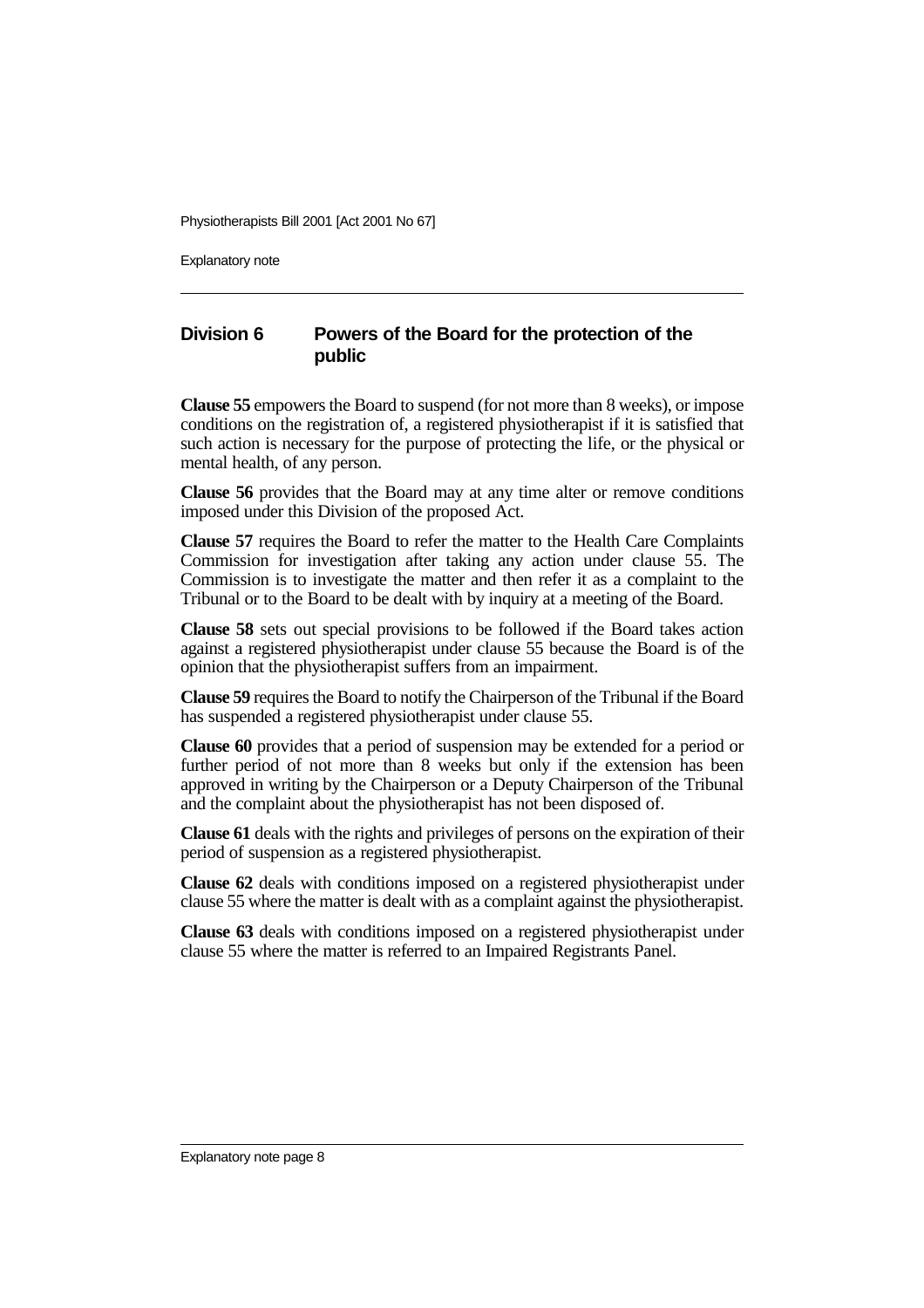Explanatory note

### **Division 6 Powers of the Board for the protection of the public**

**Clause 55** empowers the Board to suspend (for not more than 8 weeks), or impose conditions on the registration of, a registered physiotherapist if it is satisfied that such action is necessary for the purpose of protecting the life, or the physical or mental health, of any person.

**Clause 56** provides that the Board may at any time alter or remove conditions imposed under this Division of the proposed Act.

**Clause 57** requires the Board to refer the matter to the Health Care Complaints Commission for investigation after taking any action under clause 55. The Commission is to investigate the matter and then refer it as a complaint to the Tribunal or to the Board to be dealt with by inquiry at a meeting of the Board.

**Clause 58** sets out special provisions to be followed if the Board takes action against a registered physiotherapist under clause 55 because the Board is of the opinion that the physiotherapist suffers from an impairment.

**Clause 59** requires the Board to notify the Chairperson of the Tribunal if the Board has suspended a registered physiotherapist under clause 55.

**Clause 60** provides that a period of suspension may be extended for a period or further period of not more than 8 weeks but only if the extension has been approved in writing by the Chairperson or a Deputy Chairperson of the Tribunal and the complaint about the physiotherapist has not been disposed of.

**Clause 61** deals with the rights and privileges of persons on the expiration of their period of suspension as a registered physiotherapist.

**Clause 62** deals with conditions imposed on a registered physiotherapist under clause 55 where the matter is dealt with as a complaint against the physiotherapist.

**Clause 63** deals with conditions imposed on a registered physiotherapist under clause 55 where the matter is referred to an Impaired Registrants Panel.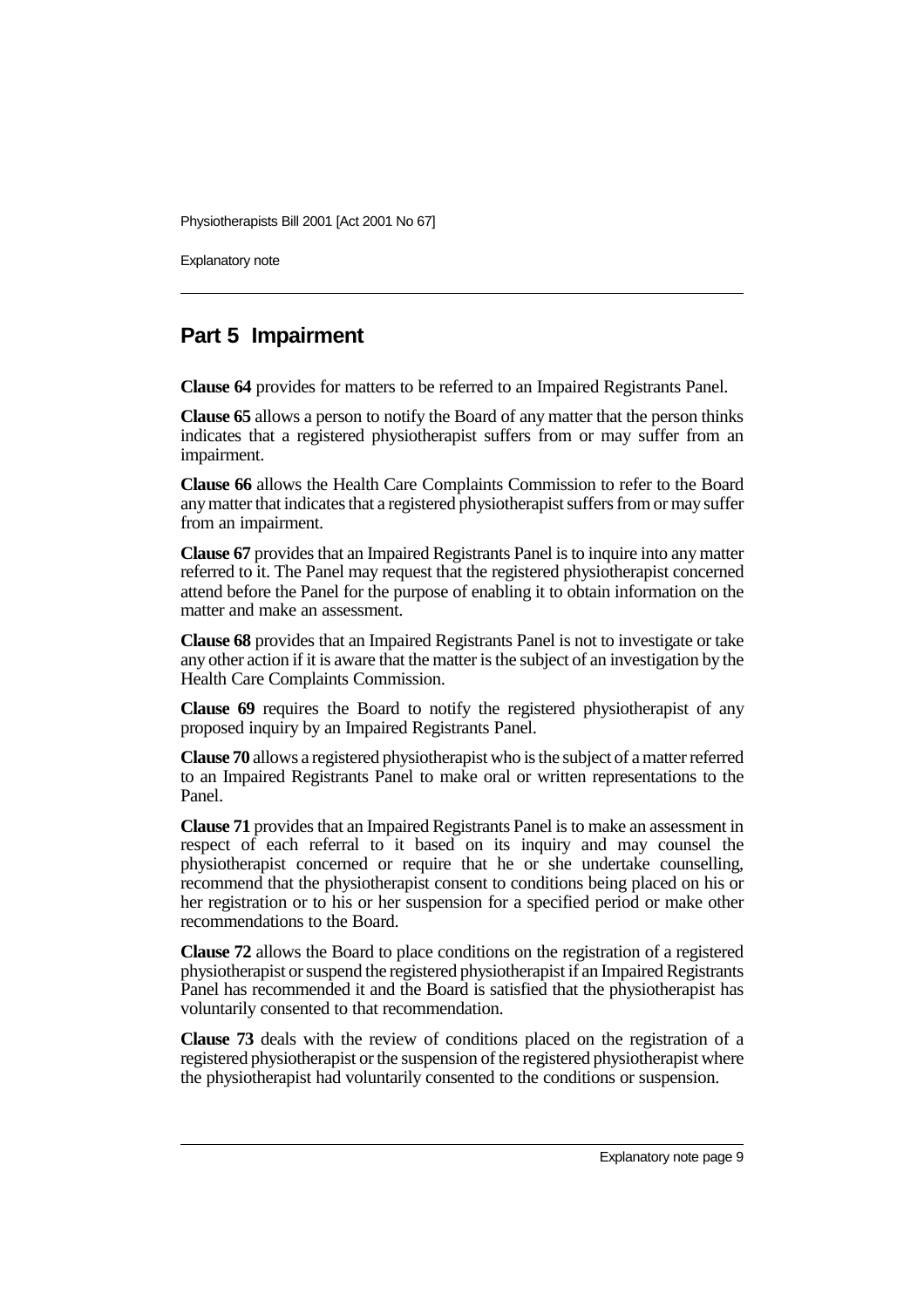Explanatory note

### **Part 5 Impairment**

**Clause 64** provides for matters to be referred to an Impaired Registrants Panel.

**Clause 65** allows a person to notify the Board of any matter that the person thinks indicates that a registered physiotherapist suffers from or may suffer from an impairment.

**Clause 66** allows the Health Care Complaints Commission to refer to the Board any matter that indicates that a registered physiotherapist suffers from or may suffer from an impairment.

**Clause 67** provides that an Impaired Registrants Panel is to inquire into any matter referred to it. The Panel may request that the registered physiotherapist concerned attend before the Panel for the purpose of enabling it to obtain information on the matter and make an assessment.

**Clause 68** provides that an Impaired Registrants Panel is not to investigate or take any other action if it is aware that the matter is the subject of an investigation by the Health Care Complaints Commission.

**Clause 69** requires the Board to notify the registered physiotherapist of any proposed inquiry by an Impaired Registrants Panel.

**Clause 70** allows a registered physiotherapist who is the subject of a matter referred to an Impaired Registrants Panel to make oral or written representations to the Panel.

**Clause 71** provides that an Impaired Registrants Panel is to make an assessment in respect of each referral to it based on its inquiry and may counsel the physiotherapist concerned or require that he or she undertake counselling, recommend that the physiotherapist consent to conditions being placed on his or her registration or to his or her suspension for a specified period or make other recommendations to the Board.

**Clause 72** allows the Board to place conditions on the registration of a registered physiotherapist or suspend the registered physiotherapist if an Impaired Registrants Panel has recommended it and the Board is satisfied that the physiotherapist has voluntarily consented to that recommendation.

**Clause 73** deals with the review of conditions placed on the registration of a registered physiotherapist or the suspension of the registered physiotherapist where the physiotherapist had voluntarily consented to the conditions or suspension.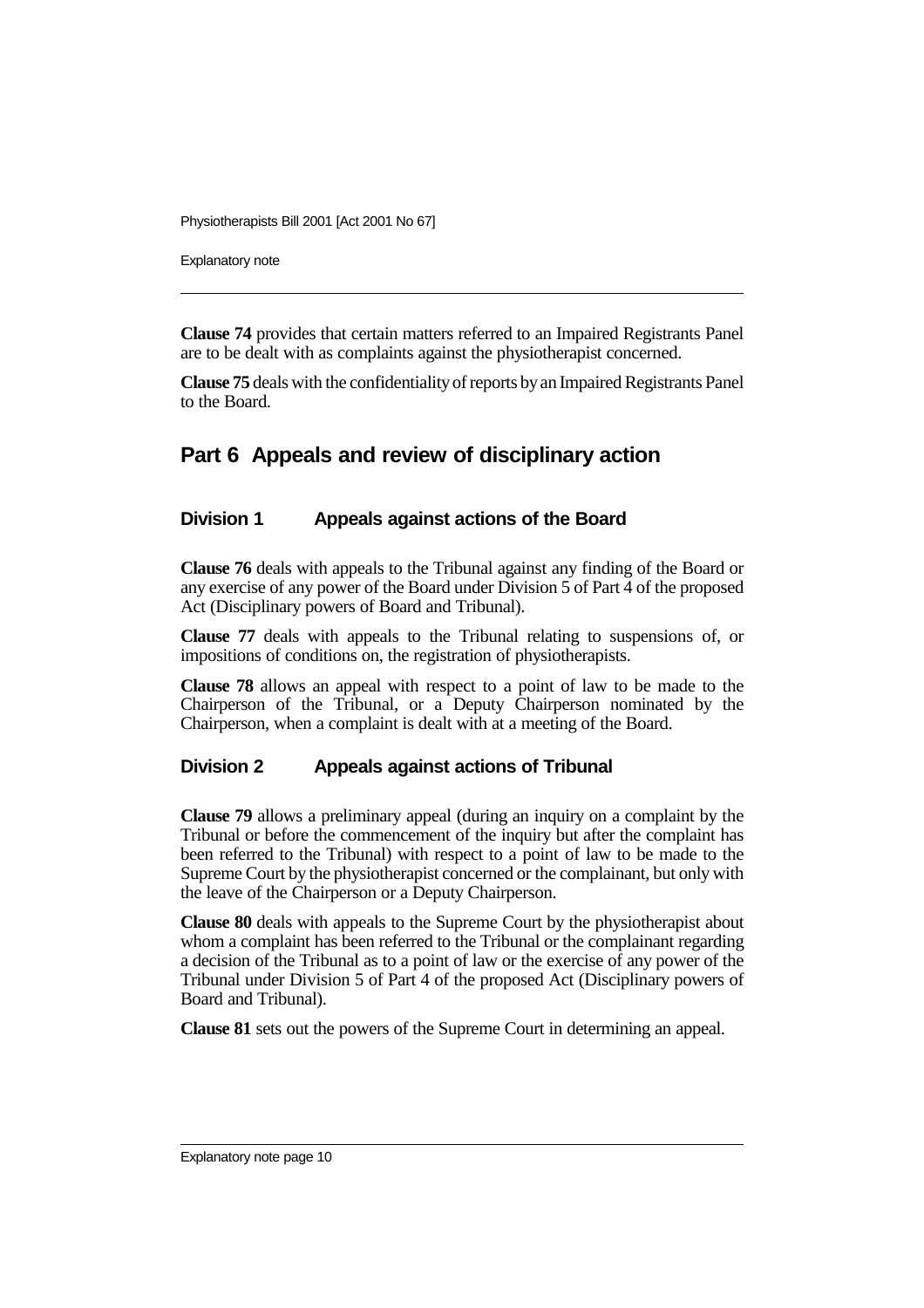Explanatory note

**Clause 74** provides that certain matters referred to an Impaired Registrants Panel are to be dealt with as complaints against the physiotherapist concerned.

**Clause 75** deals with the confidentiality of reports by an Impaired Registrants Panel to the Board.

### **Part 6 Appeals and review of disciplinary action**

### **Division 1 Appeals against actions of the Board**

**Clause 76** deals with appeals to the Tribunal against any finding of the Board or any exercise of any power of the Board under Division 5 of Part 4 of the proposed Act (Disciplinary powers of Board and Tribunal).

**Clause 77** deals with appeals to the Tribunal relating to suspensions of, or impositions of conditions on, the registration of physiotherapists.

**Clause 78** allows an appeal with respect to a point of law to be made to the Chairperson of the Tribunal, or a Deputy Chairperson nominated by the Chairperson, when a complaint is dealt with at a meeting of the Board.

#### **Division 2 Appeals against actions of Tribunal**

**Clause 79** allows a preliminary appeal (during an inquiry on a complaint by the Tribunal or before the commencement of the inquiry but after the complaint has been referred to the Tribunal) with respect to a point of law to be made to the Supreme Court by the physiotherapist concerned or the complainant, but only with the leave of the Chairperson or a Deputy Chairperson.

**Clause 80** deals with appeals to the Supreme Court by the physiotherapist about whom a complaint has been referred to the Tribunal or the complainant regarding a decision of the Tribunal as to a point of law or the exercise of any power of the Tribunal under Division 5 of Part 4 of the proposed Act (Disciplinary powers of Board and Tribunal).

**Clause 81** sets out the powers of the Supreme Court in determining an appeal.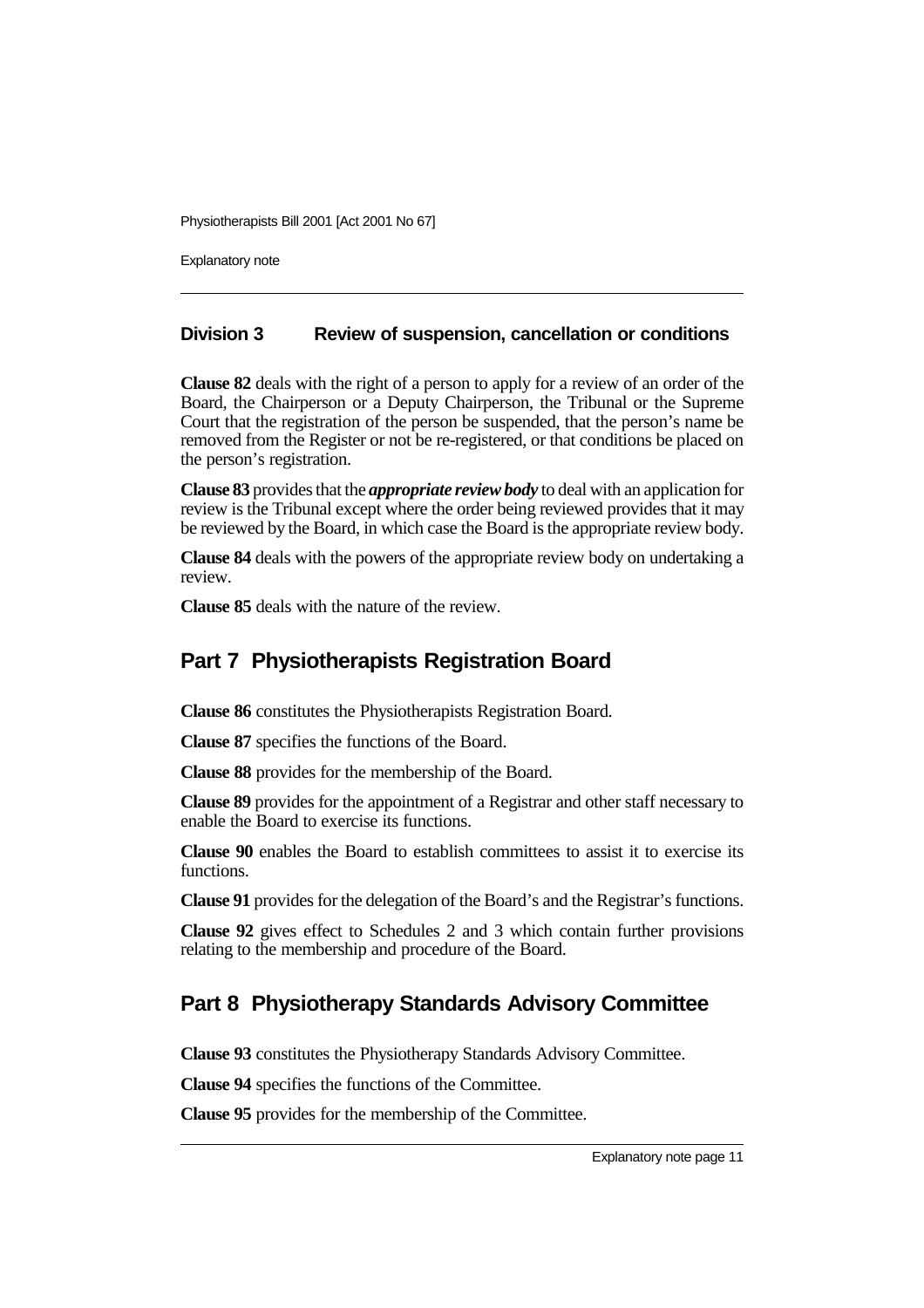Explanatory note

#### **Division 3 Review of suspension, cancellation or conditions**

**Clause 82** deals with the right of a person to apply for a review of an order of the Board, the Chairperson or a Deputy Chairperson, the Tribunal or the Supreme Court that the registration of the person be suspended, that the person's name be removed from the Register or not be re-registered, or that conditions be placed on the person's registration.

**Clause 83** provides that the *appropriate review body* to deal with an application for review is the Tribunal except where the order being reviewed provides that it may be reviewed by the Board, in which case the Board is the appropriate review body.

**Clause 84** deals with the powers of the appropriate review body on undertaking a review.

**Clause 85** deals with the nature of the review.

### **Part 7 Physiotherapists Registration Board**

**Clause 86** constitutes the Physiotherapists Registration Board.

**Clause 87** specifies the functions of the Board.

**Clause 88** provides for the membership of the Board.

**Clause 89** provides for the appointment of a Registrar and other staff necessary to enable the Board to exercise its functions.

**Clause 90** enables the Board to establish committees to assist it to exercise its functions.

**Clause 91** provides for the delegation of the Board's and the Registrar's functions.

**Clause 92** gives effect to Schedules 2 and 3 which contain further provisions relating to the membership and procedure of the Board.

### **Part 8 Physiotherapy Standards Advisory Committee**

**Clause 93** constitutes the Physiotherapy Standards Advisory Committee.

**Clause 94** specifies the functions of the Committee.

**Clause 95** provides for the membership of the Committee.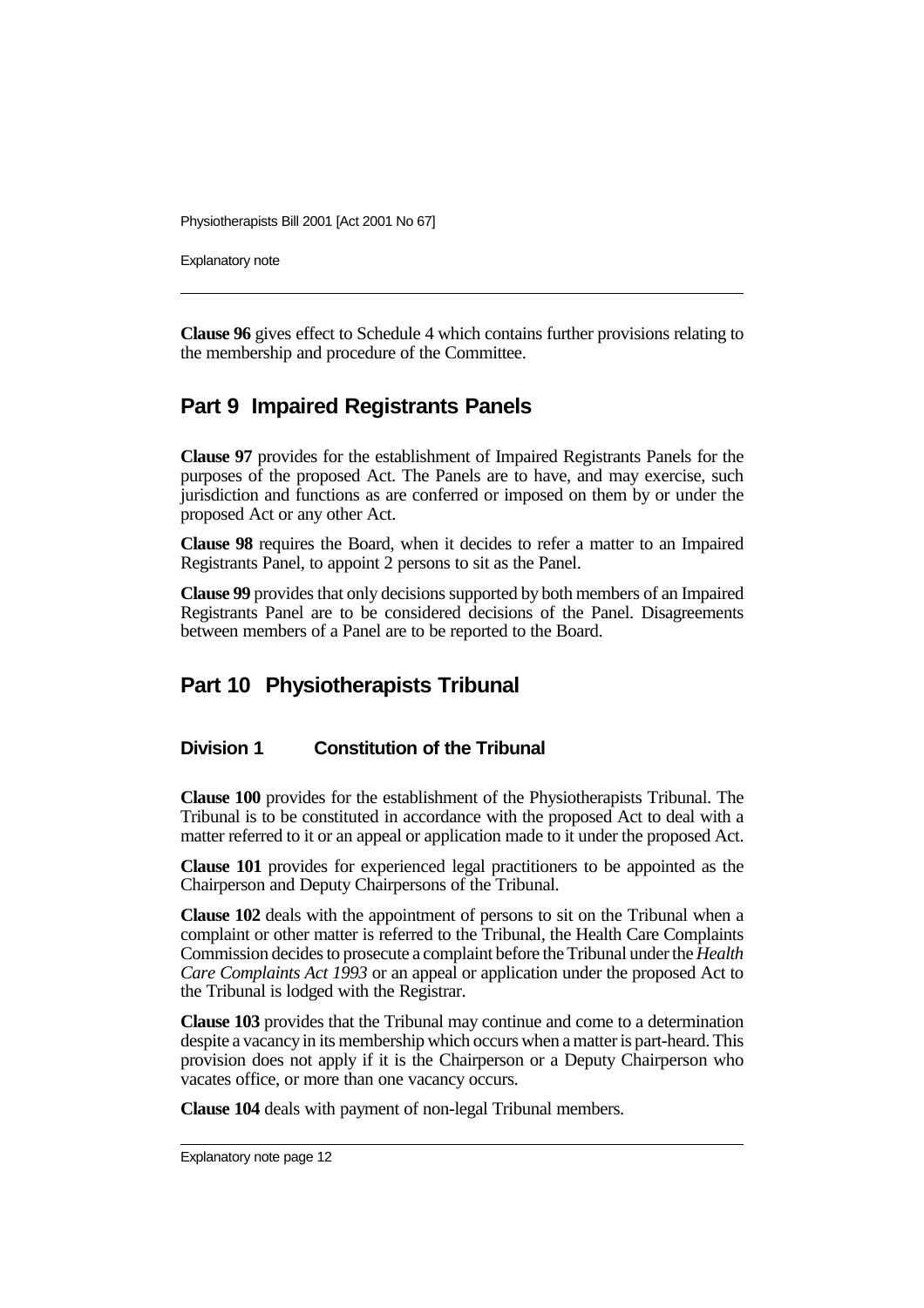Explanatory note

**Clause 96** gives effect to Schedule 4 which contains further provisions relating to the membership and procedure of the Committee.

### **Part 9 Impaired Registrants Panels**

**Clause 97** provides for the establishment of Impaired Registrants Panels for the purposes of the proposed Act. The Panels are to have, and may exercise, such jurisdiction and functions as are conferred or imposed on them by or under the proposed Act or any other Act.

**Clause 98** requires the Board, when it decides to refer a matter to an Impaired Registrants Panel, to appoint 2 persons to sit as the Panel.

**Clause 99** provides that only decisions supported by both members of an Impaired Registrants Panel are to be considered decisions of the Panel. Disagreements between members of a Panel are to be reported to the Board.

### **Part 10 Physiotherapists Tribunal**

#### **Division 1 Constitution of the Tribunal**

**Clause 100** provides for the establishment of the Physiotherapists Tribunal. The Tribunal is to be constituted in accordance with the proposed Act to deal with a matter referred to it or an appeal or application made to it under the proposed Act.

**Clause 101** provides for experienced legal practitioners to be appointed as the Chairperson and Deputy Chairpersons of the Tribunal.

**Clause 102** deals with the appointment of persons to sit on the Tribunal when a complaint or other matter is referred to the Tribunal, the Health Care Complaints Commission decides to prosecute a complaint before the Tribunal under the *Health Care Complaints Act 1993* or an appeal or application under the proposed Act to the Tribunal is lodged with the Registrar.

**Clause 103** provides that the Tribunal may continue and come to a determination despite a vacancy in its membership which occurs when a matter is part-heard. This provision does not apply if it is the Chairperson or a Deputy Chairperson who vacates office, or more than one vacancy occurs.

**Clause 104** deals with payment of non-legal Tribunal members.

Explanatory note page 12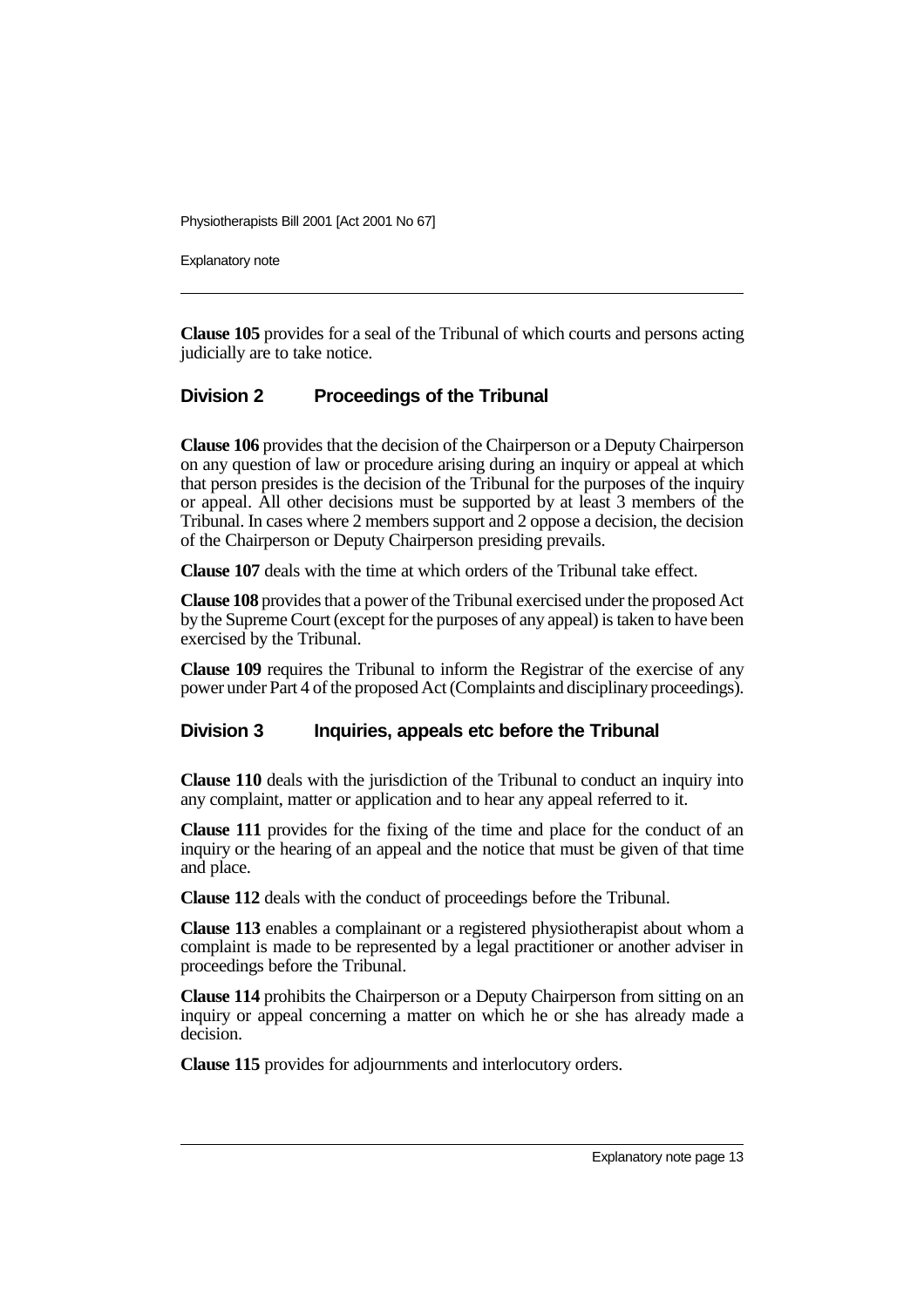Explanatory note

**Clause 105** provides for a seal of the Tribunal of which courts and persons acting judicially are to take notice.

### **Division 2 Proceedings of the Tribunal**

**Clause 106** provides that the decision of the Chairperson or a Deputy Chairperson on any question of law or procedure arising during an inquiry or appeal at which that person presides is the decision of the Tribunal for the purposes of the inquiry or appeal. All other decisions must be supported by at least 3 members of the Tribunal. In cases where 2 members support and 2 oppose a decision, the decision of the Chairperson or Deputy Chairperson presiding prevails.

**Clause 107** deals with the time at which orders of the Tribunal take effect.

**Clause 108** provides that a power of the Tribunal exercised under the proposed Act by the Supreme Court (except for the purposes of any appeal) is taken to have been exercised by the Tribunal.

**Clause 109** requires the Tribunal to inform the Registrar of the exercise of any power under Part 4 of the proposed Act (Complaints and disciplinary proceedings).

#### **Division 3 Inquiries, appeals etc before the Tribunal**

**Clause 110** deals with the jurisdiction of the Tribunal to conduct an inquiry into any complaint, matter or application and to hear any appeal referred to it.

**Clause 111** provides for the fixing of the time and place for the conduct of an inquiry or the hearing of an appeal and the notice that must be given of that time and place.

**Clause 112** deals with the conduct of proceedings before the Tribunal.

**Clause 113** enables a complainant or a registered physiotherapist about whom a complaint is made to be represented by a legal practitioner or another adviser in proceedings before the Tribunal.

**Clause 114** prohibits the Chairperson or a Deputy Chairperson from sitting on an inquiry or appeal concerning a matter on which he or she has already made a decision.

**Clause 115** provides for adjournments and interlocutory orders.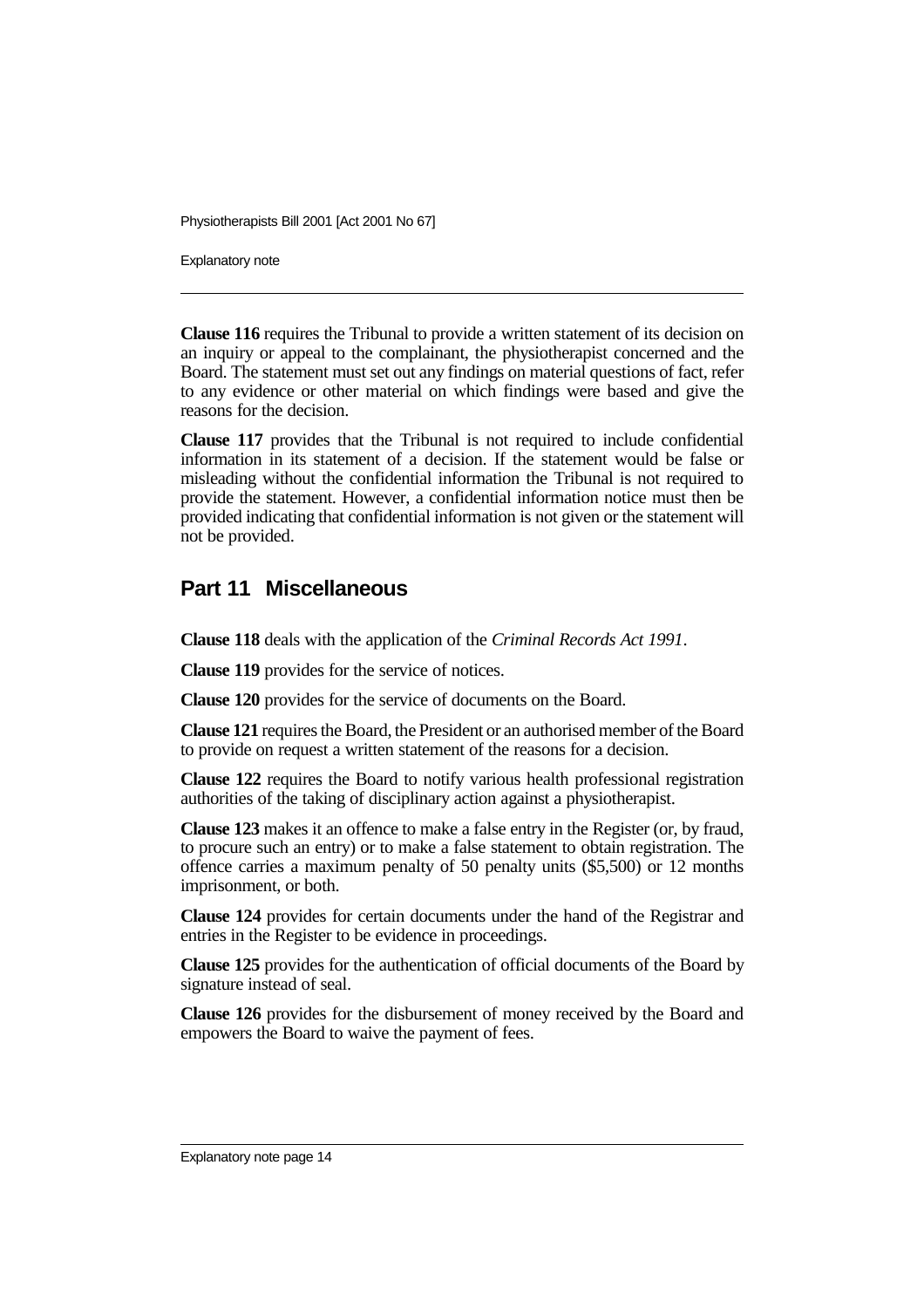Explanatory note

**Clause 116** requires the Tribunal to provide a written statement of its decision on an inquiry or appeal to the complainant, the physiotherapist concerned and the Board. The statement must set out any findings on material questions of fact, refer to any evidence or other material on which findings were based and give the reasons for the decision.

**Clause 117** provides that the Tribunal is not required to include confidential information in its statement of a decision. If the statement would be false or misleading without the confidential information the Tribunal is not required to provide the statement. However, a confidential information notice must then be provided indicating that confidential information is not given or the statement will not be provided.

### **Part 11 Miscellaneous**

**Clause 118** deals with the application of the *Criminal Records Act 1991*.

**Clause 119** provides for the service of notices.

**Clause 120** provides for the service of documents on the Board.

**Clause 121** requires the Board, the President or an authorised member of the Board to provide on request a written statement of the reasons for a decision.

**Clause 122** requires the Board to notify various health professional registration authorities of the taking of disciplinary action against a physiotherapist.

**Clause 123** makes it an offence to make a false entry in the Register (or, by fraud, to procure such an entry) or to make a false statement to obtain registration. The offence carries a maximum penalty of 50 penalty units (\$5,500) or 12 months imprisonment, or both.

**Clause 124** provides for certain documents under the hand of the Registrar and entries in the Register to be evidence in proceedings.

**Clause 125** provides for the authentication of official documents of the Board by signature instead of seal.

**Clause 126** provides for the disbursement of money received by the Board and empowers the Board to waive the payment of fees.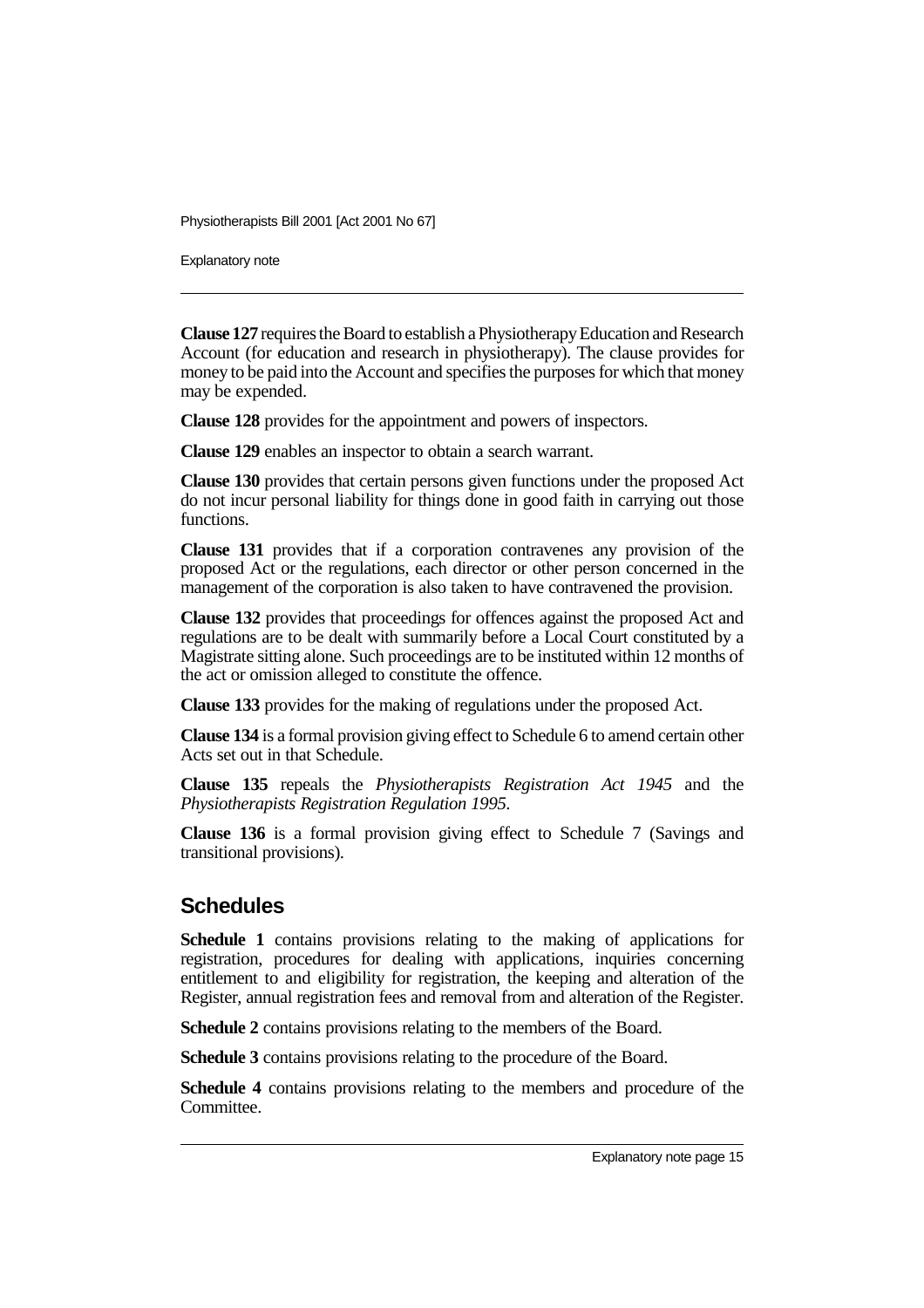Explanatory note

**Clause 127** requires the Board to establish a Physiotherapy Education and Research Account (for education and research in physiotherapy). The clause provides for money to be paid into the Account and specifies the purposes for which that money may be expended.

**Clause 128** provides for the appointment and powers of inspectors.

**Clause 129** enables an inspector to obtain a search warrant.

**Clause 130** provides that certain persons given functions under the proposed Act do not incur personal liability for things done in good faith in carrying out those functions.

**Clause 131** provides that if a corporation contravenes any provision of the proposed Act or the regulations, each director or other person concerned in the management of the corporation is also taken to have contravened the provision.

**Clause 132** provides that proceedings for offences against the proposed Act and regulations are to be dealt with summarily before a Local Court constituted by a Magistrate sitting alone. Such proceedings are to be instituted within 12 months of the act or omission alleged to constitute the offence.

**Clause 133** provides for the making of regulations under the proposed Act.

**Clause 134** is a formal provision giving effect to Schedule 6 to amend certain other Acts set out in that Schedule.

**Clause 135** repeals the *Physiotherapists Registration Act 1945* and the *Physiotherapists Registration Regulation 1995*.

**Clause 136** is a formal provision giving effect to Schedule 7 (Savings and transitional provisions).

### **Schedules**

**Schedule 1** contains provisions relating to the making of applications for registration, procedures for dealing with applications, inquiries concerning entitlement to and eligibility for registration, the keeping and alteration of the Register, annual registration fees and removal from and alteration of the Register.

**Schedule 2** contains provisions relating to the members of the Board.

**Schedule 3** contains provisions relating to the procedure of the Board.

**Schedule 4** contains provisions relating to the members and procedure of the Committee.